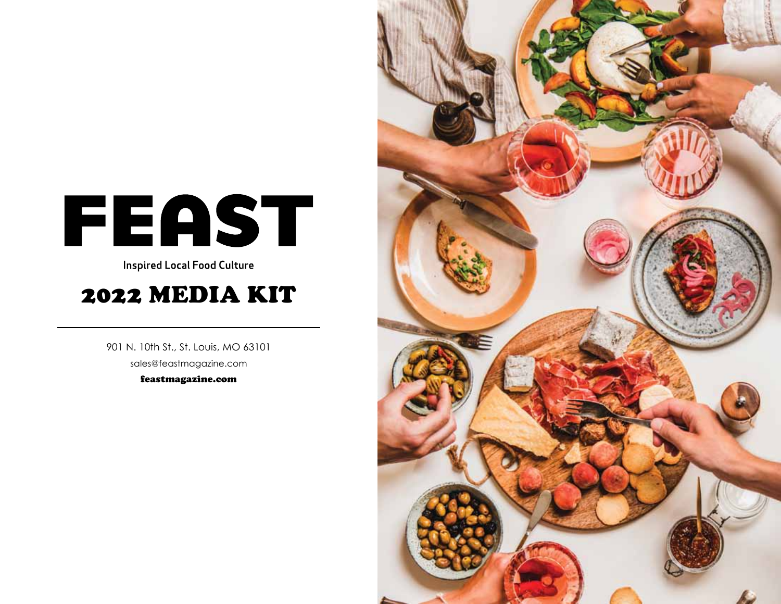# FEAST

**Inspired Local Food Culture** 

# 2022 MEDIA KIT

901 N. 10th St., St. Louis, MO 63101 sales@feastmagazine.com feastmagazine.com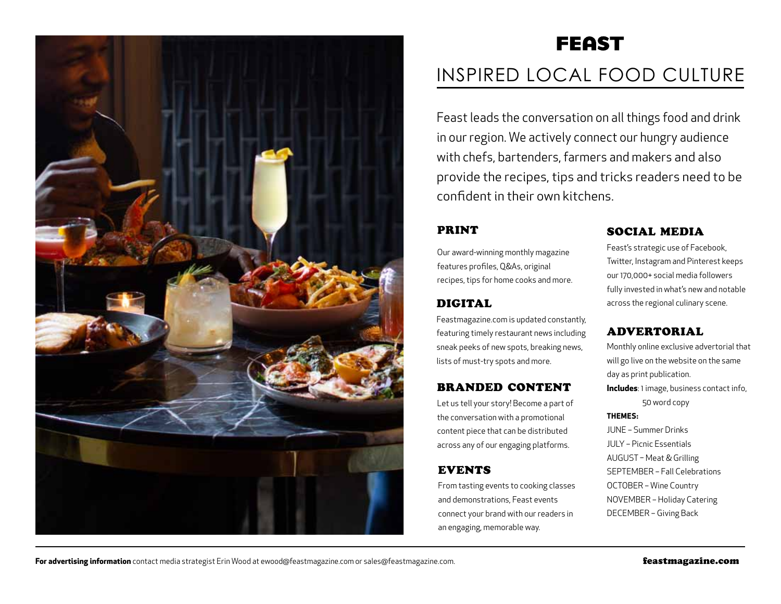

# **FEAST** INSPIRED LOCAL FOOD CULTURE

Feast leads the conversation on all things food and drink in our region. We actively connect our hungry audience with chefs, bartenders, farmers and makers and also provide the recipes, tips and tricks readers need to be confident in their own kitchens.

### print

Our award-winning monthly magazine features profiles, Q&As, original recipes, tips for home cooks and more.

# **DIGITAL**

Feastmagazine.com is updated constantly, featuring timely restaurant news including sneak peeks of new spots, breaking news, lists of must-try spots and more.

### branded content

Let us tell your story! Become a part of the conversation with a promotional content piece that can be distributed across any of our engaging platforms.

# **EVENTS**

From tasting events to cooking classes and demonstrations, Feast events connect your brand with our readers in an engaging, memorable way.

### social media

Feast's strategic use of Facebook, Twitter, Instagram and Pinterest keeps our 170,000+ social media followers fully invested in what's new and notable across the regional culinary scene.

### advertorial

Monthly online exclusive advertorial that will go live on the website on the same day as print publication. **Includes**: 1 image, business contact info, 50 word copy **Themes:**

June – Summer Drinks July – Picnic Essentials August – Meat & Grilling SEPTEMBER – Fall Celebrations OCTOBER - Wine Country NOVEMBER - Holiday Catering DECEMBER - Giving Back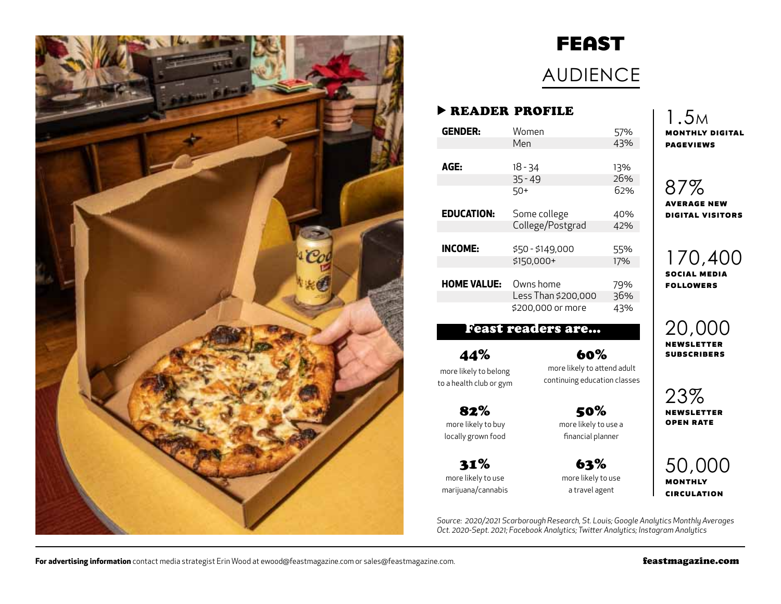

# **FEAST**

# AUDIENCE

### ▶ reader profile

| <b>GENDER:</b>     | Women               | 57% |
|--------------------|---------------------|-----|
|                    | Men                 | 43% |
|                    |                     |     |
| AGE:               | $18 - 34$           | 13% |
|                    | $35 - 49$           | 26% |
|                    | 50+                 | 62% |
|                    |                     |     |
| <b>EDUCATION:</b>  | Some college        | 40% |
|                    | College/Postgrad    | 42% |
|                    |                     |     |
| <b>INCOME:</b>     | \$50 - \$149,000    | 55% |
|                    | $$150,000+$         | 17% |
|                    |                     |     |
| <b>HOME VALUE:</b> | Owns home           | 79% |
|                    | Less Than \$200,000 | 36% |
|                    | \$200,000 or more   | 43% |
|                    |                     |     |

## Feast readers are…

44% more likely to belong to a health club or gym

82% more likely to buy locally grown food

31% more likely to use marijuana/cannabis

60% more likely to attend adult continuing education classes

> 50% more likely to use a financial planner

63% more likely to use a travel agent

1.5m **monthly digital pageviews**

# 87%

**average new digital visitors**

170,400 **social media followers**

20,000 **newsletter subscribers**

23% **newsletter open rate**

50,000 **monthly circulation**

*Source: 2020/2021 Scarborough Research, St. Louis; Google Analytics Monthly Averages Oct. 2020-Sept. 2021; Facebook Analytics; Twitter Analytics; Instagram Analytics*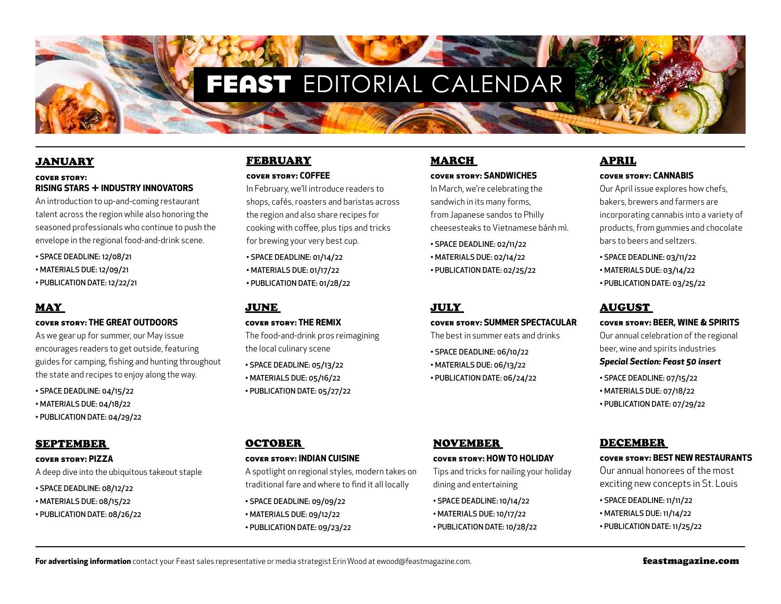# FEAST EDITORIAL CALENDAR

#### **JANUARY**

#### **cover story: Rising Stars + Industry Innovators**

An introduction to up-and-coming restaurant talent across the region while also honoring the seasoned professionals who continue to push the envelope in the regional food-and-drink scene.

- Space deadline: 12/08/21
- Materials due: 12/09/21
- Publication date: 12/22/21

#### May

#### **cover story: The Great Outdoors**

As we gear up for summer, our May issue encourages readers to get outside, featuring guides for camping, fishing and hunting throughout the state and recipes to enjoy along the way.

- Space deadline: 04/15/22
- Materials due: 04/18/22
- Publication date: 04/29/22

#### September

#### **cover story: Pizza**

A deep dive into the ubiquitous takeout staple

- Space deadline: 08/12/22
- Materials due: 08/15/22
- Publication date: 08/26/22

#### **FEBRUARY cover story: Coffee**

In February, we'll introduce readers to shops, cafés, roasters and baristas across

the region and also share recipes for cooking with coffee, plus tips and tricks for brewing your very best cup.

- Space deadline: 01/14/22
- MATERIALS DUE: 01/17/22
- Publication date: 01/28/22

#### June

#### **cover story: The Remix**

The food-and-drink pros reimagining the local culinary scene

- Space deadline: 05/13/22
- Materials due: 05/16/22
- Publication date: 05/27/22

# March

#### **cover story: Sandwiches**

In March, we're celebrating the sandwich in its many forms, from Japanese sandos to Philly cheesesteaks to Vietnamese bánh mì.

- Space deadline: 02/11/22
- MATERIALS DUE: 02/14/22
- Publication date: 02/25/22

#### July

#### **cover story: Summer Spectacular**

The best in summer eats and drinks

- Space deadline: 06/10/22
- MATERIALS DUE: 06/13/22

November

dining and entertaining • Space deadline: 10/14/22 • MATERIALS DUE: 10/17/22 • Publication date: 10/28/22

• Publication date: 06/24/22

**cover story: How to Holiday**  Tips and tricks for nailing your holiday

# April

#### **cover story: Cannabis**

Our April issue explores how chefs, bakers, brewers and farmers are incorporating cannabis into a variety of products, from gummies and chocolate bars to beers and seltzers.

- Space deadline: 03/11/22
- Materials due: 03/14/22
- Publication date: 03/25/22

#### August

#### **cover story: Beer, Wine & Spirits**

Our annual celebration of the regional beer, wine and spirits industries

#### *Special Section: Feast 50 insert*

- Space deadline: 07/15/22
- Materials due: 07/18/22
- Publication date: 07/29/22

#### December

#### **cover story: Best New Restaurants**

Our annual honorees of the most exciting new concepts in St. Louis

- Space deadline: 11/11/22
- MATERIALS DUE: 11/14/22
- Publication date: 11/25/22

#### **OCTOBER**

#### **cover story: Indian cuisine**

A spotlight on regional styles, modern takes on traditional fare and where to find it all locally

- Space deadline: 09/09/22 • MATERIALS DUE: 09/12/22 • Publication date: 09/23/22
- 

For advertising information contact your Feast sales representative or media strategist Erin Wood at ewood@feastmagazine.com. **Feastmagazine.com feastmagazine.com**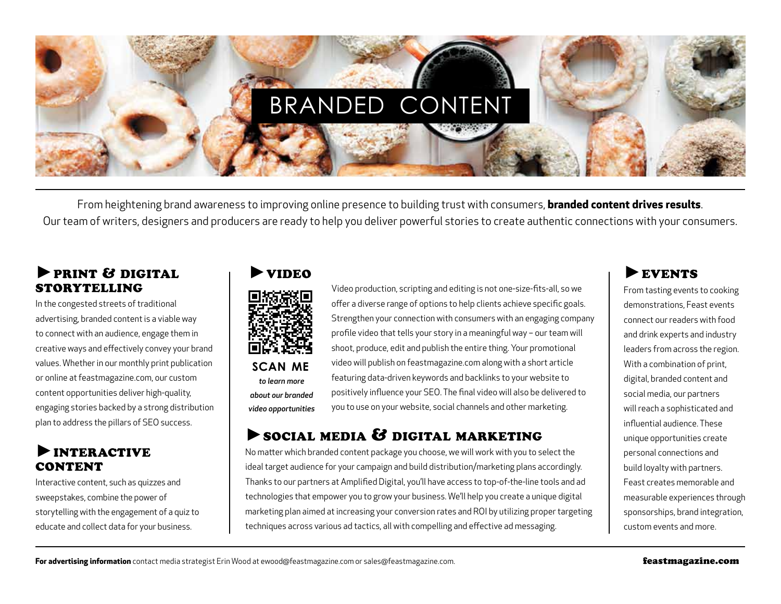

From heightening brand awareness to improving online presence to building trust with consumers, **branded content drives results**. Our team of writers, designers and producers are ready to help you deliver powerful stories to create authentic connections with your consumers.

### ►print & digital storytelling

In the congested streets of traditional advertising, branded content is a viable way to connect with an audience, engage them in creative ways and effectively convey your brand values. Whether in our monthly print publication or online at feastmagazine.com, our custom content opportunities deliver high-quality, engaging stories backed by a strong distribution plan to address the pillars of SEO success.

# ►interactive **CONTENT**

Interactive content, such as quizzes and sweepstakes, combine the power of storytelling with the engagement of a quiz to educate and collect data for your business.



*about our branded video opportunities*

Video production, scripting and editing is not one-size-fits-all, so we offer a diverse range of options to help clients achieve specific goals. Strengthen your connection with consumers with an engaging company profile video that tells your story in a meaningful way – our team will shoot, produce, edit and publish the entire thing. Your promotional video will publish on feastmagazine.com along with a short article featuring data-driven keywords and backlinks to your website to positively influence your SEO. The final video will also be delivered to you to use on your website, social channels and other marketing.

# $\blacktriangleright$  social media  $\mathcal G$  digital marketing

No matter which branded content package you choose, we will work with you to select the ideal target audience for your campaign and build distribution/marketing plans accordingly. Thanks to our partners at Amplified Digital, you'll have access to top-of-the-line tools and ad technologies that empower you to grow your business. We'll help you create a unique digital marketing plan aimed at increasing your conversion rates and ROI by utilizing proper targeting techniques across various ad tactics, all with compelling and effective ad messaging.

# EVENTS

From tasting events to cooking demonstrations, Feast events connect our readers with food and drink experts and industry leaders from across the region. With a combination of print, digital, branded content and social media, our partners will reach a sophisticated and influential audience. These unique opportunities create personal connections and build loyalty with partners. Feast creates memorable and measurable experiences through sponsorships, brand integration, custom events and more.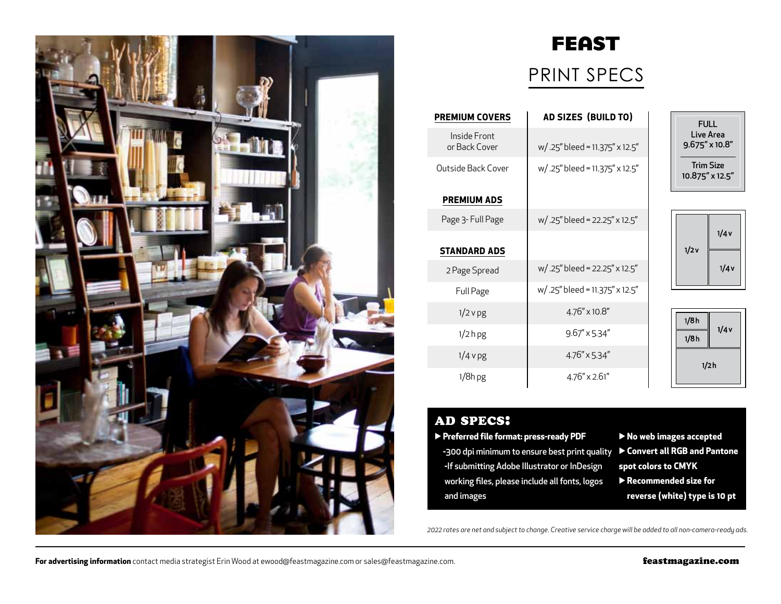

# **FEAST** PRINT SPECS

| <b>PREMIUM COVERS</b>         | AD SIZES (BUILD TO)            |
|-------------------------------|--------------------------------|
| Inside Front<br>or Back Cover | w/.25" bleed = 11.375" x 12.5" |
| Outside Back Cover            | w/.25" bleed = 11.375" x 12.5" |
| <b>PREMIUM ADS</b>            |                                |
| Page 3- Full Page             | w/.25" bleed = 22.25" x 12.5"  |
| <b>STANDARD ADS</b>           |                                |
| 2 Page Spread                 | w/.25" bleed = 22.25" x 12.5"  |
| Full Page                     | w/.25" bleed = 11.375" x 12.5" |
| $1/2$ v pg                    | 4.76" x 10.8"                  |
| 1/2 <sub>hpg</sub>            | 9.67" x 5.34"                  |
| $1/4$ v pg                    | $4.76'' \times 5.34''$         |
| 1/8h pg                       | $4.76'' \times 2.61''$         |

| FULL<br>Live Area<br>$9.675'' \times 10.8''$ |  |
|----------------------------------------------|--|
| Trim Size<br>10.875" x 12.5"                 |  |

| 1/2v | 1/4v |
|------|------|
|      | 1/4v |

| 1/8h | 1/4v |
|------|------|
| 1/8h |      |
|      | 1/2h |

### ad specs:

#### ▶ **Preferred file format: press-ready PDF**

- **-**300 dpi minimum to ensure best print quality ▶ **Convert all RGB and Pantone -**If submitting Adobe Illustrator or InDesign working files, please include all fonts, logos and images
- ▶ **No web images accepted spot colors to CMYK** ▶ **Recommended size for reverse (white) type is 10 pt**

*2022 rates are net and subject to change. Creative service charge will be added to all non-camera-ready ads.*